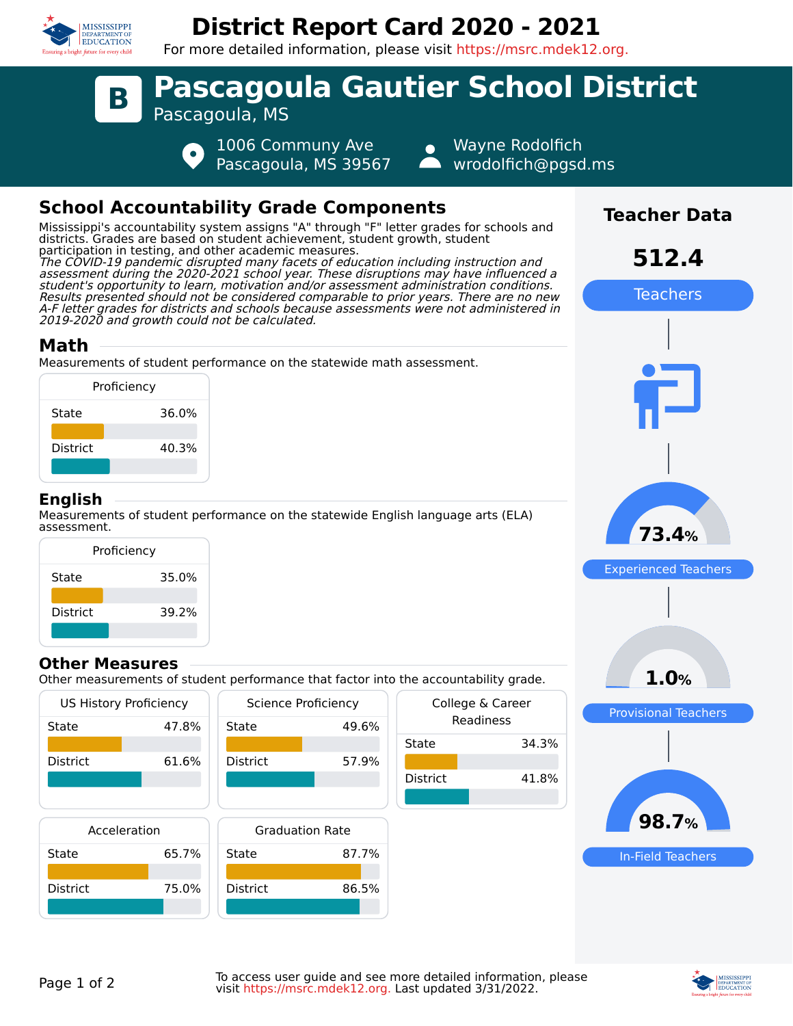

## **District Report Card 2020 - 2021**

For more detailed information, please visit https://msrc.mdek12.org.